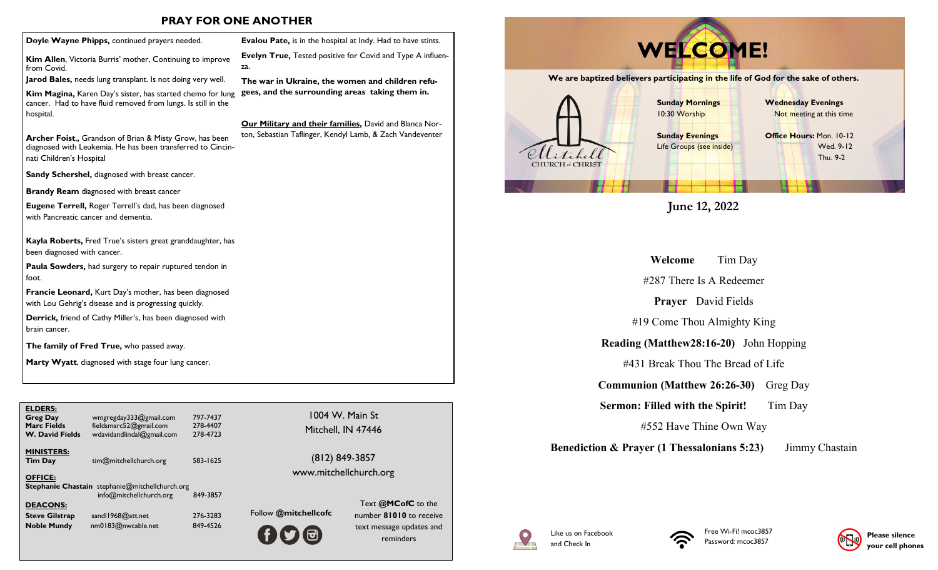## **PRAY FOR ONE ANOTHER**

za.

**Kim Allen**, Victoria Burris' mother, Continuing to improve from Covid.

**Jarod Bales,** needs lung transplant. Is not doing very well.

**Kim Magina,** Karen Day's sister, has started chemo for lung cancer. Had to have fluid removed from lungs. Is still in the hospital.

**Archer Foist**,**,** Grandson of Brian & Misty Grow, has been diagnosed with Leukemia. He has been transferred to Cincinnati Children's Hospital

**Sandy Schershel,** diagnosed with breast cancer.

**Brandy Ream** diagnosed with breast cancer

**Eugene Terrell,** Roger Terrell's dad, has been diagnosed with Pancreatic cancer and dementia.

**Kayla Roberts,** Fred True's sisters great granddaughter, has been diagnosed with cancer.

**Paula Sowders,** had surgery to repair ruptured tendon in foot.

**Francie Leonard,** Kurt Day's mother, has been diagnosed with Lou Gehrig's disease and is progressing quickly.

**Derrick,** friend of Cathy Miller's, has been diagnosed with brain cancer.

**The family of Fred True,** who passed away.

**Marty Wyatt**, diagnosed with stage four lung cancer.

| <b>ELDERS:</b><br><b>Greg Day</b><br><b>Marc Fields</b><br><b>W. David Fields</b> | wmgregday333@gmail.com<br>fieldsmarc52@gmail.com<br>wdavidandlindal@gmail.com     | 797-7437<br>278-4407<br>278-4723 | 1004<br>Mitche       |
|-----------------------------------------------------------------------------------|-----------------------------------------------------------------------------------|----------------------------------|----------------------|
| <b>MINISTERS:</b><br><b>Tim Day</b>                                               | tim@mitchellchurch.org                                                            | 583-1625                         | (812)<br>www.mitc    |
| <b>OFFICE:</b>                                                                    | <b>Stephanie Chastain</b> stephanie@mitchellchurch.org<br>info@mitchellchurch.org | 849-3857                         |                      |
| <b>DEACONS:</b>                                                                   |                                                                                   | 276-3283                         | Follow @mitchellcofc |
| <b>Steve Gilstrap</b><br><b>Noble Mundy</b>                                       | sand 1968@att.net<br>nm0183@nwcable.net                                           | 849-4526                         |                      |
|                                                                                   |                                                                                   |                                  | <b>TA</b>            |

1004 W. Main St

**Evalou Pate,** is in the hospital at Indy. Had to have stints. **Evelyn True,** Tested positive for Covid and Type A influen-

**The war in Ukraine, the women and children refugees, and the surrounding areas taking them in.**

**Our Military and their families,** David and Blanca Norton, Sebastian Taflinger, Kendyl Lamb, & Zach Vandeventer

> (812) 849-3857 www.mitchellchurch.org

> > Text **@MCofC** to the number **81010** to receive text message updates and reminders



**June 12, 2022**

**Welcome** Tim Day

#287 There Is A Redeemer

**Prayer** David Fields

#19 Come Thou Almighty King

**Reading (Matthew28:16-20)** John Hopping

#431 Break Thou The Bread of Life

**Communion (Matthew 26:26-30)** Greg Day

**Sermon: Filled with the Spirit!** Tim Day

#552 Have Thine Own Way

**Benediction & Prayer (1 Thessalonians 5:23)** Jimmy Chastain









Mitchell, IN 47446